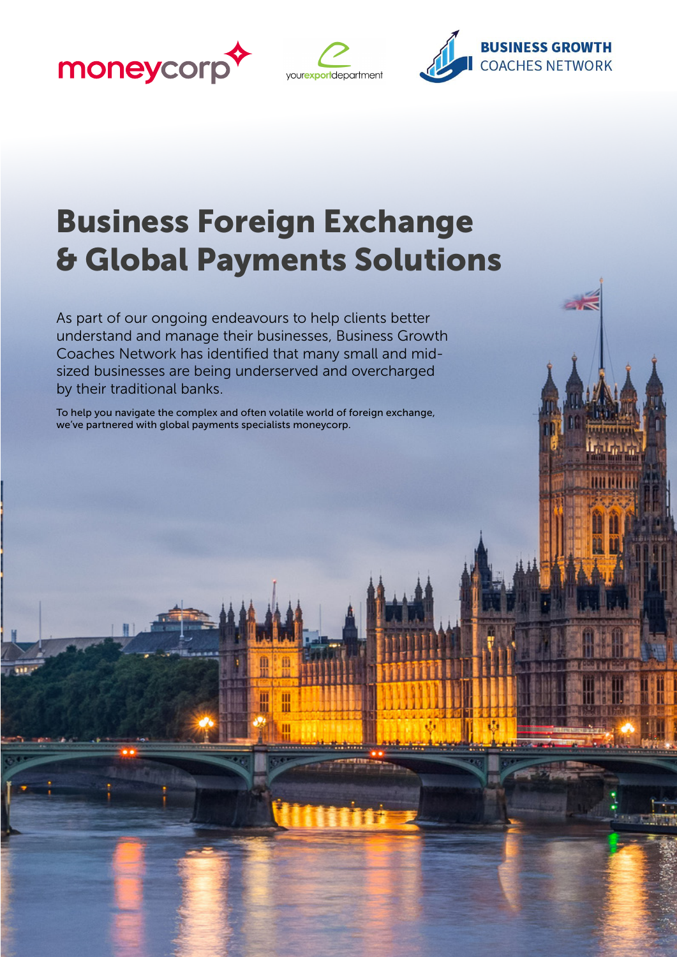





# Business Foreign Exchange & Global Payments Solutions

As part of our ongoing endeavours to help clients better understand and manage their businesses, Business Growth Coaches Network has identified that many small and midsized businesses are being underserved and overcharged by their traditional banks.

To help you navigate the complex and often volatile world of foreign exchange, we've partnered with global payments specialists moneycorp.



₩